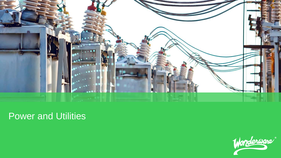

# Power and Utilities

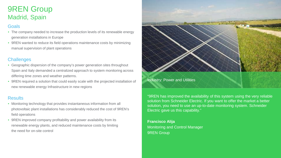## 9REN Group Madrid, Spain

#### **Goals**

- The company needed to increase the production levels of its renewable energy generation installations in Europe
- 9REN wanted to reduce its field operations maintenance costs by minimizing manual supervision of plant operations

#### **Challenges**

- Geographic dispersion of the company's power generation sites throughout Spain and Italy demanded a centralized approach to system monitoring across differing time zones and weather patterns.
- 9REN required a solution that could easily scale with the projected installation of new renewable energy Infrastructure in new regions

#### **Results**

- Monitoring technology that provides instantaneous information from all photovoltaic plant installations has considerably reduced the cost of 9REN's field operations
- 9REN improved company profitability and power availability from its renewable energy plants, and reduced maintenance costs by limiting the need for on-site control



"9REN has improved the availability of this system using the very reliable solution from Schneider Electric. If you want to offer the market a better solution, you need to use an up-to-date monitoring system. Schneider Electric gave us this capability."

**Francisco Alija**  Monitoring and Control Manager 9REN Group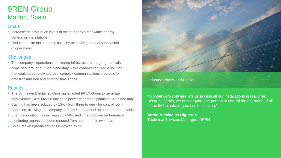## 9REN Group Madrid, Spain

#### Goals

- Increase the production levels of the company's renewable energy generation installations
- Reduce on-site maintenance costs by minimizing manual supervision of operations

#### **Challenges**

• The company's operations monitoring Infrastructure are geographically dispersed throughout Spain and Italy -- this dynamic required a solution that could adequately address complex communications protocols for data transmission and differing time zones

#### **Results**

- The Schneider Electric solution has enabled 9REN Group to generate approximately 425 MWh a day at its power generation plants in Spain and Italy
- Staffing has been reduced by 15% from three to one for control room operation, allowing the company to focus its personnel on other important tasks
- Event recognition has increased by 50% and time to obtain performance monitoring reports has been reduced from one month to two days
- Solar trackers production has improved by 5%



Industry: Power and Utilities

"Wonderware software lets us access all our installations in real time. Because of this, we only require one person to control the operation of all of the 568 plants, regardless of location."

**Antonio Palacios Higueras** Technical Services Manager / 9REN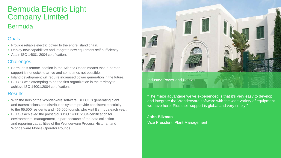# Bermuda Electric Light Company Limited **Bermuda**

#### **Goals**

- Provide reliable electric power to the entire island chain.
- Deploy new capabilities and integrate new equipment self-sufficiently.
- Attain ISO 14001-2004 certification.

#### **Challenges**

- Bermuda's remote location in the Atlantic Ocean means that in-person support is not quick to arrive and sometimes not possible.
- Island development will require increased power generation in the future.
- BELCO was attempting to be the first organization in the territory to achieve ISO 14001:2004 certification.

#### **Results**

- With the help of the Wonderware software, BELCO's generating plant and transmissions and distribution system provide consistent electricity to the 65,500 residents and 465,000 tourists who visit Bermuda each year.
- BELCO achieved the prestigious ISO 14001:2004 certification for environmental management, in part because of the data collection and reporting capabilities of the Wonderware Process Historian and Wonderware Mobile Operator Rounds.



"The major advantage we've experienced is that it's very easy to develop and integrate the Wonderware software with the wide variety of equipment we have here. Plus their support is global and very timely."

**John Blizman** Vice President, Plant Management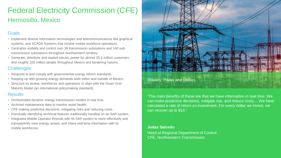# Federal Electricity Commission (CFE) Hermosillo, Mexico

#### **Goals**

- Implement diverse information technologies and telecommunications like graphical systems, and SCADA Systems that involve mobile workforce operations.
- Centralize visibility and control over 38 transmission substations and 140 subtransmission substations throughout Northwestern territory.
- Generate, distribute and market electric power for almost 35.3 million customers and roughly 100 million people throughout Mexico and bordering nations.

#### **Challenges**

- Respond to and comply with governmental energy reform standards.
- Keeping up with growing energy demands both within and outside of Mexico.
- Structure its assets, workforces and operations to align with the Smart Grid Maturity Model (an international policymaking standard).

#### **Results**

- Orchestrated dynamic energy transmission models in real time.
- Archived maintenance data to monitor asset health.
- CFE making predictive decisions, mitigating risks and reducing costs.
- Punctually identifying technical features traditionally handled on an SAP system.
- Integrated Mobile Operator Rounds with its SAP system to more effectively and transparently view energy assets, and share real-time information with its mobile workforces.



#### Industry: Power and Utilities

"The main benefits of these are that we have information in real time. We can make predictive decisions, mitigate risk, and reduce costs… We have calculated a rate of return on investment. For every dollar we invest, we can recover up to \$10."

#### **Judas Salcedo**

Head of Regional Department of Control CFE, Northwestern Transmission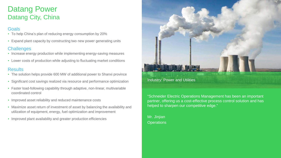## Datang Power Datang City, China

#### **Goals**

- To help China's plan of reducing energy consumption by 20%
- Expand plant capacity by constructing two new power generating units

#### **Challenges**

- Increase energy production while implementing energy-saving measures
- Lower costs of production while adjusting to fluctuating market conditions

#### **Results**

- The solution helps provide 600 MW of additional power to Shanxi province
- Significant cost savings realized via resource and performance optimization
- Faster load-following capability through adaptive, non-linear, multivariable coordinated control
- Improved asset reliability and reduced maintenance costs
- Maximize asset return of investment of asset by balancing the availability and utilization of equipment, energy, fuel optimization and improvement
- Improved plant availability and greater production efficiencies



#### Industry: Power and Utilities

"Schneider Electric Operations Management has been an important partner, offering us a cost-effective process control solution and has helped to sharpen our competitive edge."

Mr. Jinjian **Operations**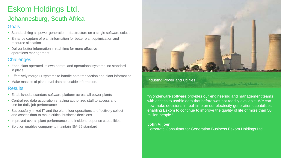# Eskom Holdings Ltd.

### Johannesburg, South Africa

#### **Goals**

- Standardizing all power generation Infrastructure on a single software solution
- Enhance capture of plant information for better plant optimization and resource allocation
- Deliver better information in real-time for more effective operations management

#### **Challenges**

- Each plant operated its own control and operational systems, no standard in place
- Effectively merge IT systems to handle both transaction and plant information
- Make masses of plant-level data as usable information.

#### Results

- Established a standard software platform across all power plants
- Centralized data acquisition enabling authorized staff to access and use for daily job performance
- Successfully linked IT and the plant floor operations to effectively collect and assess data to make critical business decisions
- Improved overall plant performance and incident response capabilities
- Solution enables company to maintain ISA-95 standard



#### Industry: Power and Utilities

"Wonderware software provides our engineering and management teams with access to usable data that before was not readily available. We can now make decisions in real-time on our electricity generation capabilities, enabling Eskom to continue to improve the quality of life of more than 50 million people."

and String and Congress

#### **John Viljoen,**

Corporate Consultant for Generation Business Eskom Holdings Ltd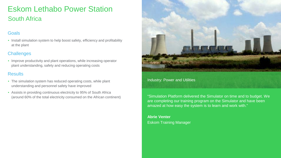# Eskom Lethabo Power Station South Africa

#### **Goals**

• Install simulation system to help boost safety, efficiency and profitability at the plant

#### **Challenges**

• Improve productivity and plant operations, while increasing operator plant understanding, safety and reducing operating costs

#### **Results**

- The simulation system has reduced operating costs, while plant understanding and personnel safety have improved
- Assists in providing continuous electricity to 95% of South Africa (around 60% of the total electricity consumed on the African continent)



#### Industry: Power and Utilities

"Simulation Platform delivered the Simulator on time and to budget. We are completing our training program on the Simulator and have been amazed at how easy the system is to learn and work with."

**Abrie Venter**  Eskom Training Manager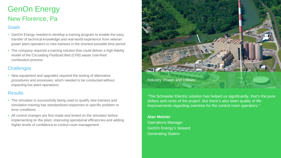# GenOn Energy New Florence, Pa

#### Goals

- GenOn Energy needed to develop a training program to enable the easy transfer of technical knowledge and real-world experience from veteran power plant operators to new trainees in the shortest possible time period
- The company required a training solution that could deliver a high-fidelity model of the Circulating Fluidized Bed (CFB) waste coal-fired combustion process

#### **Challenges**

• New equipment and upgrades required the testing of alternative procedures and processes, which needed to be conducted without impacting live plant operations

#### **Results**

- The simulator is successfully being used to qualify new trainees and simulation training has standardized responses to specific problem or error conditions
- All control changes are first made and tested on the simulator before implementing on the plant, improving operational efficiencies and adding higher levels of confidence to control room management



"The Schneider Electric solution has helped us significantly, that's the pure dollars and cents of the project. But there's also been quality of life improvements regarding overtime for the control room operators."

#### **Alan Metzler**  Operations Manager GenOn Energy's Seward Generating Station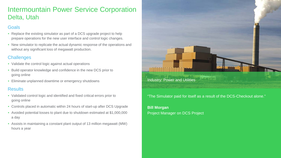### Intermountain Power Service Corporation Delta, Utah

#### **Goals**

- Replace the existing simulator as part of a DCS upgrade project to help prepare operations for the new user interface and control logic changes.
- New simulator to replicate the actual dynamic response of the operations and without any significant loss of megawatt production.

#### **Challenges**

- Validate the control logic against actual operations
- Build operator knowledge and confidence in the new DCS prior to going online
- Eliminate unplanned downtime or emergency shutdowns

#### **Results**

- Validated control logic and identified and fixed critical errors prior to going online
- Controls placed in automatic within 24 hours of start-up after DCS Upgrade
- Avoided potential losses to plant due to shutdown estimated at \$1,000,000 a day
- Assists in maintaining a constant plant output of 13 million megawatt (MW) hours a year



#### "The Simulator paid for itself as a result of the DCS-Checkout alone."

#### **Bill Morgan** Project Manager on DCS Project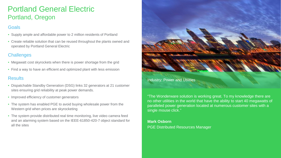## Portland General Electric Portland, Oregon

#### Goals

- Supply ample and affordable power to 2 million residents of Portland
- Create reliable solution that can be reused throughout the plants owned and operated by Portland General Electric

#### **Challenges**

- Megawatt cost skyrockets when there is power shortage from the grid
- Find a way to have an efficient and optimized plant with less emission

#### **Results**

- Dispatchable Standby Generation (DSG) links 32 generators at 21 customer sites ensuring grid reliability at peak power demands.
- Improved efficiency of customer generators
- The system has enabled PGE to avoid buying wholesale power from the Western grid when prices are skyrocketing
- The system provide distributed real time monitoring, live video camera feed and an alarming system based on the IEEE-61850-420-7 object standard for all the sites



"The Wonderware solution is working great. To my knowledge there are no other utilities in the world that have the ability to start 40 megawatts of paralleled power generation located at numerous customer sites with a single mouse click."

#### **Mark Osborn**

PGE Distributed Resources Manager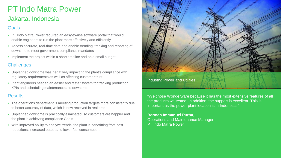# PT Indo Matra Power

### Jakarta, Indonesia

#### Goals

- PT Indo Matra Power required an easy-to-use software portal that would enable engineers to run the plant more effectively and efficiently
- Access accurate, real-time data and enable trending, tracking and reporting of downtime to meet government compliance mandates
- Implement the project within a short timeline and on a small budget

#### **Challenges**

- Unplanned downtime was negatively impacting the plant's compliance with regulatory requirements as well as affecting customer trust
- Plant engineers needed an easier and faster system for tracking production KPIs and scheduling maintenance and downtime.

#### **Results**

- The operations department is meeting production targets more consistently due to better accuracy of data, which is now received in real time
- Unplanned downtime is practically eliminated, so customers are happier and the plant is achieving compliance Goals
- With improved ability to analyze trends, the plant is benefitting from cost reductions, increased output and lower fuel consumption.



"We chose Wonderware because it has the most extensive features of all the products we tested. In addition, the support is excellent. This is important as the power plant location is in Indonesia."

#### **Berman Immanuel Purba,** Operations and Maintenance Manager, PT Indo Matra Power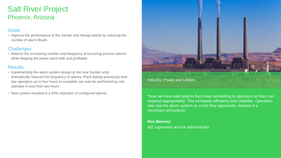### Salt River Project Phoenix, Arizona

#### Goals

• Improve the performance of the Santan and Navajo plants by reducing the number of alarm floods

#### **Challenges**

• Reduce the increasing number and frequency of occurring process alarms while keeping the power plant safe and profitable

#### **Results**

- Implementing the alarm system design at the nine Santan units dramatically reduced the frequency of alarms. Plant startup previously took two operators up to four hours to complete can now be performed by one operator in less than two hours
- New system resulted in a 44% reduction of configured alarms



"Now we have valid alarms that mean something to operators so they can respond appropriately. This increases efficiency and reliability. Operators now see the alarm system as a tool they appreciate, instead of a necessary annoyance."

#### **Ron Bewsey**

I&E supervisor and I/A administrator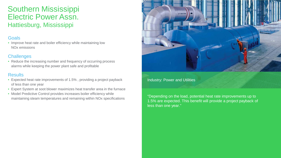### Southern Mississippi Electric Power Assn. Hattiesburg, Mississippi

#### **Goals**

• Improve heat rate and boiler efficiency while maintaining low NOx emissions

#### **Challenges**

• Reduce the increasing number and frequency of occurring process alarms while keeping the power plant safe and profitable

#### **Results**

- Expected heat rate improvements of 1.5% , providing a project payback of less than one year
- Expert System at soot blower maximizes heat transfer area in the furnace
- Model Predictive Control provides increases boiler efficiency while maintaining steam temperatures and remaining within NOx specifications



#### Industry: Power and Utilities

"Depending on the load, potential heat rate improvements up to 1.5% are expected. This benefit will provide a project payback of less than one year."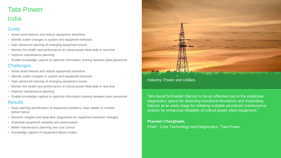### Tata Power India

### Goals

- Avoid asset failures and reduce equipment downtime
- Identify subtle changes in system and equipment behavior
- Gain advanced warning of emerging equipment issues
- Monitor the health and performance of critical assets fleet-wide in real time
- Improve maintenance planning
- Enable knowledge capture to optimize information sharing between plant personnel

#### **Challenges**

- Avoid asset failures and reduce equipment downtime
- Identify subtle changes in system and equipment behavior
- Gain advanced warning of emerging equipment issues
- Monitor the health and performance of critical assets fleet-wide in real time
- Improve maintenance planning
- Enable knowledge capture to optimize information sharing between plant personnel **Results**

- Early warning identification of equipment problems, days weeks or months before failure
- Dynamic insights and deep-dive diagnostics for equipment behavior changes
- Improved equipment reliability and performance
- Better maintenance planning and cost control
- Knowledge capture of equipment failure modes

#### Industry: Power and Utilities

"We found Schneider Electric to be an effective tool in the predictive diagnostics space for detecting functional deviations and impending failures at an early stage for initiating suitable prioritized maintenance actions for enhanced reliability of critical power plant equipment."

#### **Praveen Chorghade,**

Chief - Core Technology and Diagnostics, Tata Power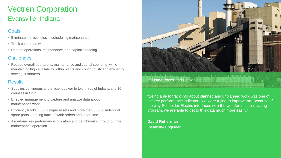# Vectren Corporation Evansville, Indiana

#### Goals

- Eliminate inefficiencies in scheduling maintenance
- Track completed work
- Reduce operations, maintenance, and capital spending

#### **Challenges**

• Reduce overall operations, maintenance and capital spending, while maintaining high availability within plants and continuously and efficiently serving customers.

#### **Results**

- Supplies continuous and efficient power to two-thirds of Indiana and 16 counties in Ohio
- Enabled management to capture and analyze data about maintenance work.
- Efficiently tracks 6,000 unique assets and more than 33,000 individual spare parts, keeping track of work orders and labor time
- Ascertains key performance indicators and benchmarks throughout the maintenance operation



### Industry: Power and Utilities

"Being able to track info about planned and unplanned work was one of the key performance indicators we were trying to improve on. Because of the way Schneider Electric interfaces with the workforce time-tracking program, we are able to get to this data much more easily."

**David Reherman**  Reliability Engineer